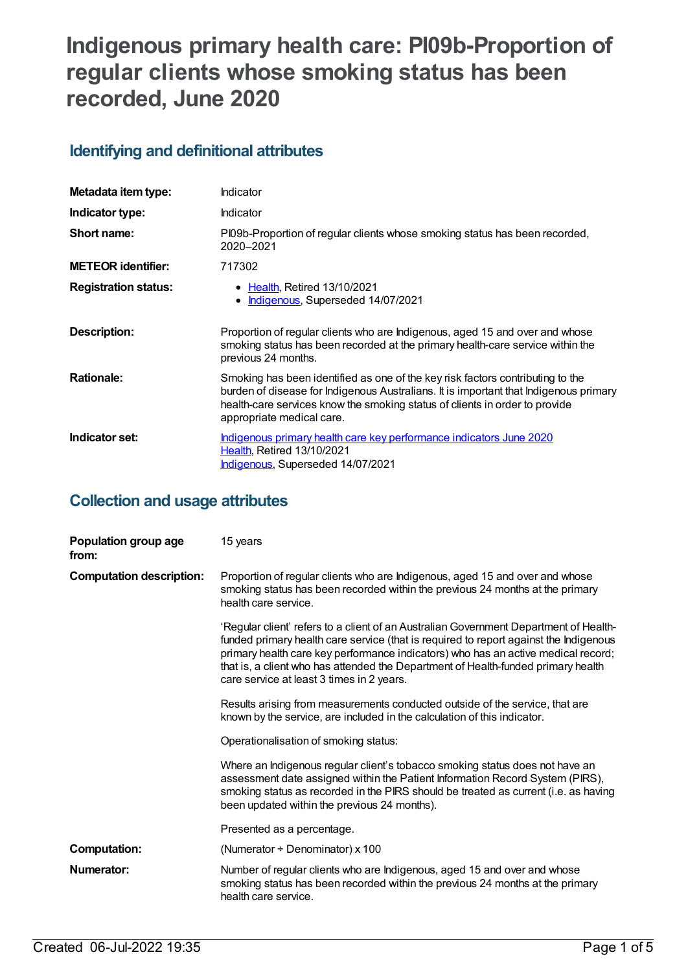# **Indigenous primary health care: PI09b-Proportion of regular clients whose smoking status has been recorded, June 2020**

## **Identifying and definitional attributes**

| Metadata item type:         | Indicator                                                                                                                                                                                                                                                                           |
|-----------------------------|-------------------------------------------------------------------------------------------------------------------------------------------------------------------------------------------------------------------------------------------------------------------------------------|
| Indicator type:             | Indicator                                                                                                                                                                                                                                                                           |
| Short name:                 | PI09b-Proportion of regular clients whose smoking status has been recorded,<br>2020-2021                                                                                                                                                                                            |
| <b>METEOR identifier:</b>   | 717302                                                                                                                                                                                                                                                                              |
| <b>Registration status:</b> | • Health, Retired 13/10/2021<br>Indigenous, Superseded 14/07/2021                                                                                                                                                                                                                   |
| Description:                | Proportion of regular clients who are Indigenous, aged 15 and over and whose<br>smoking status has been recorded at the primary health-care service within the<br>previous 24 months.                                                                                               |
| <b>Rationale:</b>           | Smoking has been identified as one of the key risk factors contributing to the<br>burden of disease for Indigenous Australians. It is important that Indigenous primary<br>health-care services know the smoking status of clients in order to provide<br>appropriate medical care. |
| Indicator set:              | Indigenous primary health care key performance indicators June 2020<br>Health, Retired 13/10/2021<br>Indigenous, Superseded 14/07/2021                                                                                                                                              |

#### **Collection and usage attributes**

| Population group age<br>from:   | 15 years                                                                                                                                                                                                                                                                                                                                                                                              |
|---------------------------------|-------------------------------------------------------------------------------------------------------------------------------------------------------------------------------------------------------------------------------------------------------------------------------------------------------------------------------------------------------------------------------------------------------|
| <b>Computation description:</b> | Proportion of regular clients who are Indigenous, aged 15 and over and whose<br>smoking status has been recorded within the previous 24 months at the primary<br>health care service.                                                                                                                                                                                                                 |
|                                 | 'Regular client' refers to a client of an Australian Government Department of Health-<br>funded primary health care service (that is required to report against the Indigenous<br>primary health care key performance indicators) who has an active medical record;<br>that is, a client who has attended the Department of Health-funded primary health<br>care service at least 3 times in 2 years. |
|                                 | Results arising from measurements conducted outside of the service, that are<br>known by the service, are included in the calculation of this indicator.                                                                                                                                                                                                                                              |
|                                 | Operationalisation of smoking status:                                                                                                                                                                                                                                                                                                                                                                 |
|                                 | Where an Indigenous regular client's tobacco smoking status does not have an<br>assessment date assigned within the Patient Information Record System (PIRS),<br>smoking status as recorded in the PIRS should be treated as current (i.e. as having<br>been updated within the previous 24 months).                                                                                                  |
|                                 | Presented as a percentage.                                                                                                                                                                                                                                                                                                                                                                            |
| <b>Computation:</b>             | (Numerator $\div$ Denominator) x 100                                                                                                                                                                                                                                                                                                                                                                  |
| Numerator:                      | Number of regular clients who are Indigenous, aged 15 and over and whose<br>smoking status has been recorded within the previous 24 months at the primary<br>health care service.                                                                                                                                                                                                                     |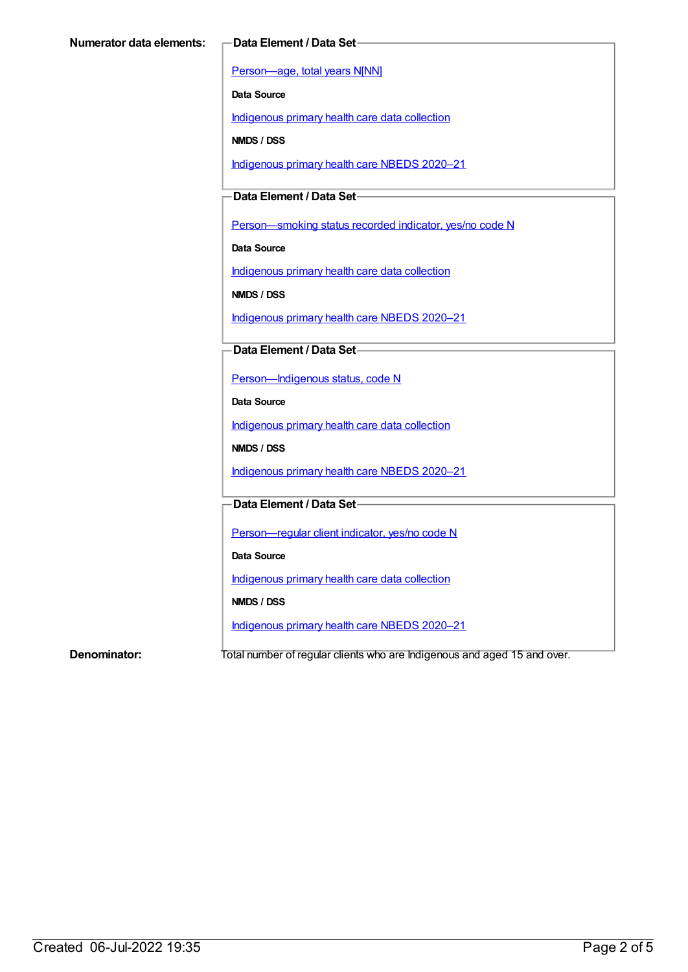[Person—age,](https://meteor.aihw.gov.au/content/303794) total years N[NN]

**Data Source**

[Indigenous](https://meteor.aihw.gov.au/content/430643) primary health care data collection

**NMDS / DSS**

[Indigenous](https://meteor.aihw.gov.au/content/715320) primary health care NBEDS 2020–21

**Data Element / Data Set**

Person-smoking status recorded indicator, yes/no code N

**Data Source**

[Indigenous](https://meteor.aihw.gov.au/content/430643) primary health care data collection

**NMDS / DSS**

[Indigenous](https://meteor.aihw.gov.au/content/715320) primary health care NBEDS 2020–21

**Data Element / Data Set**

[Person—Indigenous](https://meteor.aihw.gov.au/content/602543) status, code N

**Data Source**

[Indigenous](https://meteor.aihw.gov.au/content/430643) primary health care data collection

**NMDS / DSS**

[Indigenous](https://meteor.aihw.gov.au/content/715320) primary health care NBEDS 2020–21

**Data Element / Data Set**

[Person—regular](https://meteor.aihw.gov.au/content/686291) client indicator, yes/no code N

**Data Source**

[Indigenous](https://meteor.aihw.gov.au/content/430643) primary health care data collection

**NMDS / DSS**

[Indigenous](https://meteor.aihw.gov.au/content/715320) primary health care NBEDS 2020–21

**Denominator:** Total number of regular clients who are Indigenous and aged 15 and over.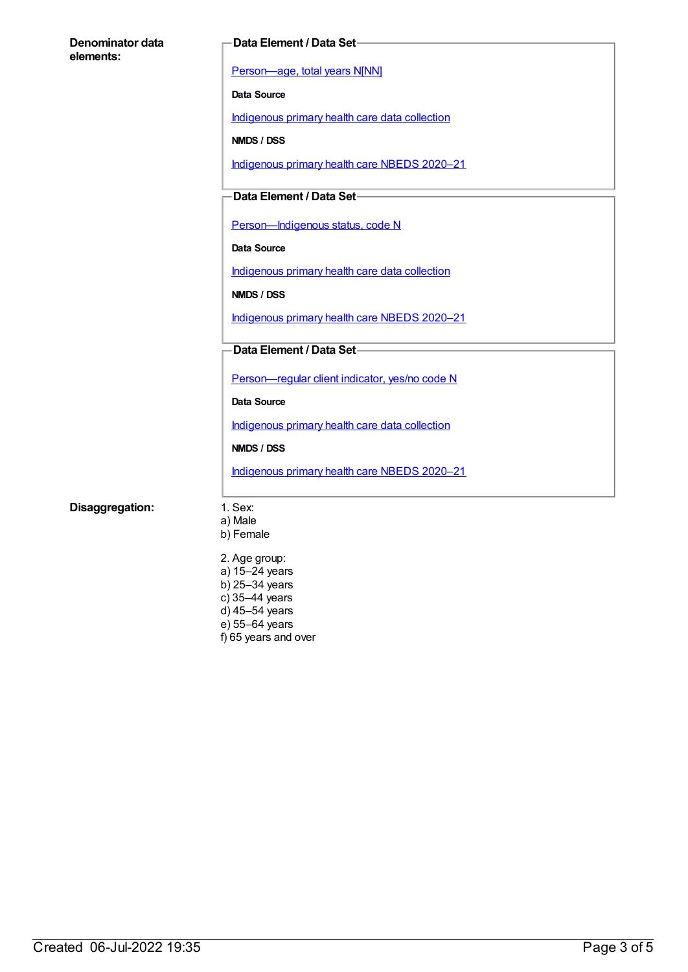| Denominator data<br>elements: | Data Element / Data Set-                            |
|-------------------------------|-----------------------------------------------------|
|                               | Person-age, total years N[NN]                       |
|                               | Data Source                                         |
|                               | Indigenous primary health care data collection      |
|                               | NMDS / DSS                                          |
|                               | Indigenous primary health care NBEDS 2020-21        |
|                               | Data Element / Data Set-                            |
|                               | Person-Indigenous status, code N                    |
|                               | <b>Data Source</b>                                  |
|                               | Indigenous primary health care data collection      |
|                               | NMDS / DSS                                          |
|                               | Indigenous primary health care NBEDS 2020-21        |
|                               | Data Element / Data Set-                            |
|                               | Person-regular client indicator, yes/no code N      |
|                               | <b>Data Source</b>                                  |
|                               | Indigenous primary health care data collection      |
|                               | NMDS / DSS                                          |
|                               | Indigenous primary health care NBEDS 2020-21        |
| Disaggregation:               | 1. Sex:<br>a) Male                                  |
|                               | b) Female                                           |
|                               | 2. Age group:<br>a) 15-24 years<br>b) $25-34$ years |

- c) 35–44 years
- d) 45–54 years e) 55–64 years
- f) 65 years and over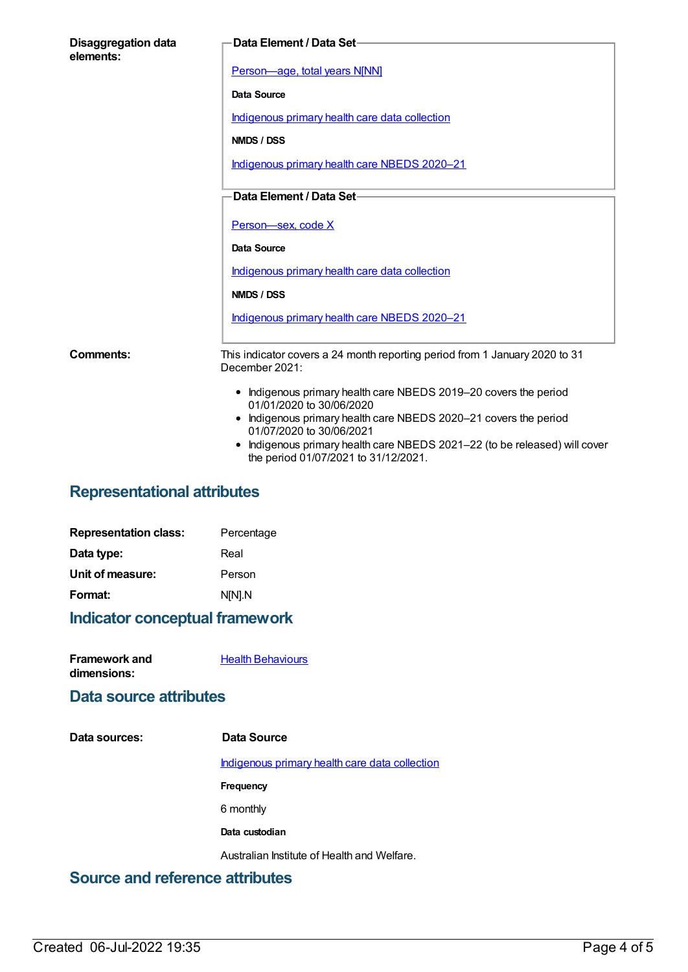| <b>Disaggregation data</b><br>elements: | Data Element / Data Set-                                                                                                                                                                                                                                                 |
|-----------------------------------------|--------------------------------------------------------------------------------------------------------------------------------------------------------------------------------------------------------------------------------------------------------------------------|
|                                         | Person-age, total years N[NN]                                                                                                                                                                                                                                            |
|                                         | Data Source                                                                                                                                                                                                                                                              |
|                                         | Indigenous primary health care data collection                                                                                                                                                                                                                           |
|                                         | NMDS / DSS                                                                                                                                                                                                                                                               |
|                                         | Indigenous primary health care NBEDS 2020-21                                                                                                                                                                                                                             |
|                                         | Data Element / Data Set-                                                                                                                                                                                                                                                 |
|                                         |                                                                                                                                                                                                                                                                          |
|                                         | Person-sex, code X                                                                                                                                                                                                                                                       |
|                                         | Data Source                                                                                                                                                                                                                                                              |
|                                         | Indigenous primary health care data collection                                                                                                                                                                                                                           |
|                                         | NMDS / DSS                                                                                                                                                                                                                                                               |
|                                         | Indigenous primary health care NBEDS 2020-21                                                                                                                                                                                                                             |
| Comments:                               | This indicator covers a 24 month reporting period from 1 January 2020 to 31<br>December 2021:                                                                                                                                                                            |
|                                         | • Indigenous primary health care NBEDS 2019-20 covers the period<br>01/01/2020 to 30/06/2020<br>• Indigenous primary health care NBEDS 2020-21 covers the period<br>01/07/2020 to 30/06/2021<br>Indigenous primary health care NBEDS 2021-22 (to be released) will cover |
|                                         | the period 01/07/2021 to 31/12/2021.                                                                                                                                                                                                                                     |

## **Representational attributes**

| <b>Representation class:</b> | Percentage |
|------------------------------|------------|
| Data type:                   | Real       |
| Unit of measure:             | Person     |
| Format:                      | N[N].N     |
|                              |            |

## **Indicator conceptual framework**

| Framework and | <b>Health Behaviours</b> |
|---------------|--------------------------|
| dimensions:   |                          |

#### **Data source attributes**

| Data sources: | Data Source                                    |
|---------------|------------------------------------------------|
|               | Indigenous primary health care data collection |
|               | Frequency                                      |
|               | 6 monthly                                      |
|               | Data custodian                                 |
|               | Australian Institute of Health and Welfare.    |
|               |                                                |

#### **Source and reference attributes**